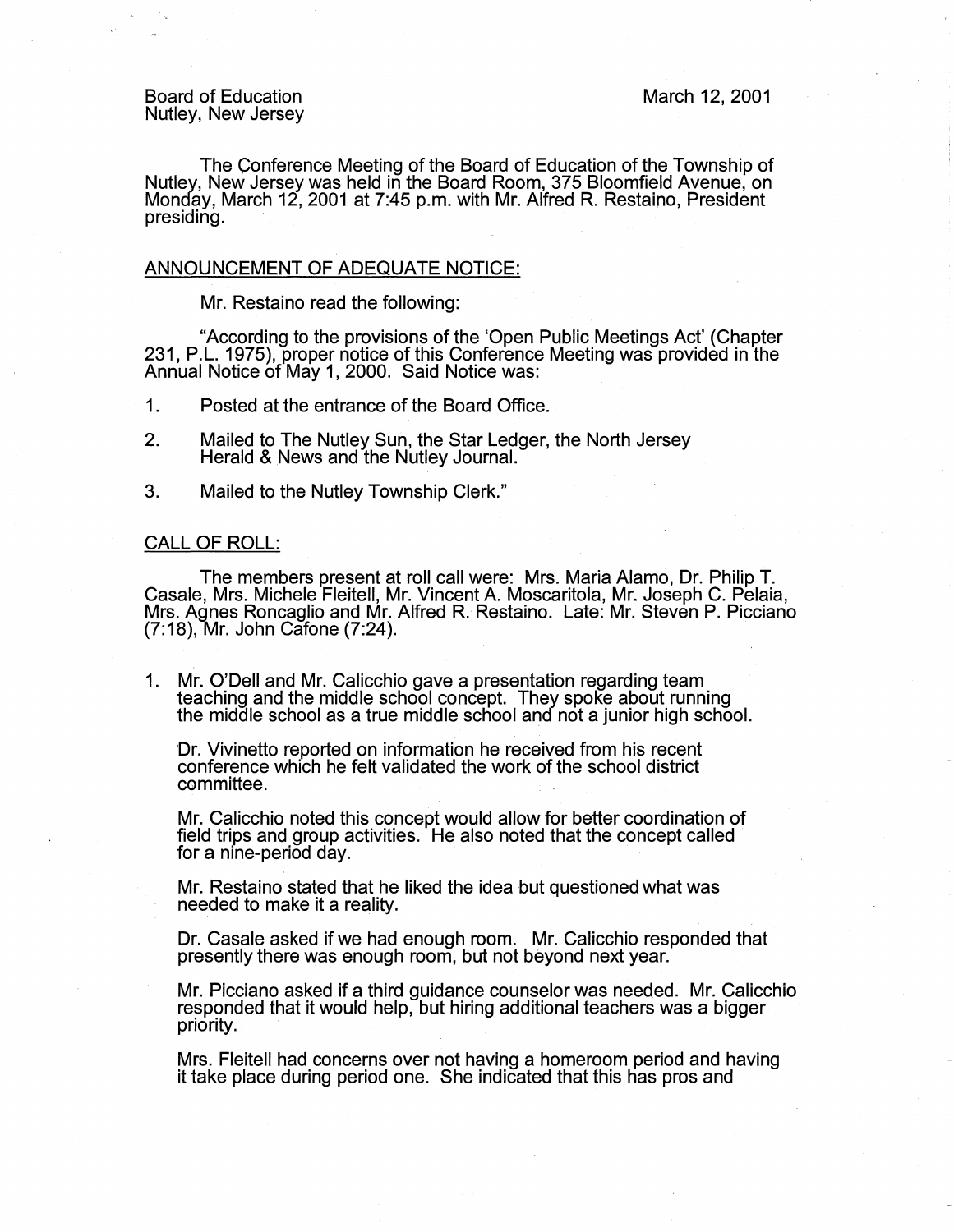The Conference Meeting of the Board of Education of the Township of Nutley, New Jersey was held in the Board Room, 375 Bloomfield Avenue, on Monday, March 12, 2001 at 7:45 p.m. with Mr. Alfred R. Restaino, President presiding.

## ANNOUNCEMENT OF ADEQUATE NOTICE:

Mr. Restaino read the following:

"According to the provisions of the 'Open Public Meetings Act' (Chapter 231, P.L. 1975), proper notice of this Conference Meeting was provided in the Annual Notice of May 1, 2000. Said Notice was:

1. Posted at the entrance of the Board Office.

- 2. Mailed to The Nutley Sun, the Star Ledger, the North Jersey Herald & News and the Nutley Journal.
- 3. Mailed to the Nutley Township Clerk."

## CALL OF ROLL:

The members present at roll call were: Mrs. Maria Alamo, Dr. Philip T. Casale, Mrs. Michele Fleitell, Mr. Vincent A. Moscaritola, Mr. Joseph C. Pelaia, Mrs. Agnes Roncaglio and Mr. Alfred R. Restaino. Late: Mr. Steven P. Picciano (7:18), Mr. John Cafone (7:24).

1. Mr. O'Dell and Mr. Calicchio gave a presentation regarding team teaching and the middle school concept. They spoke about running the midale school as a true middle school and not a junior high school.

Dr. Vivinetto reported on information he received from his recent conference which he felt validated the work of the school district committee.

Mr. Calicchio noted this concept would allow for better coordination of field trips and group activities. He also noted that the concept called for a nine-period day.

Mr. Restaino stated that he liked the idea but questioned what was needed to make it a reality.

Dr. Casale asked if we had enough room. Mr. Calicchio responded that presently there was enough room, but not beyond next year.

Mr. Picciano asked if a third guidance counselor was needed. Mr. Calicchio responded that it would help, but hiring additional teachers was a bigger priority.

Mrs. Fleitell had concerns over not having a homeroom period and having it take place during period one. She indicated that this has pros and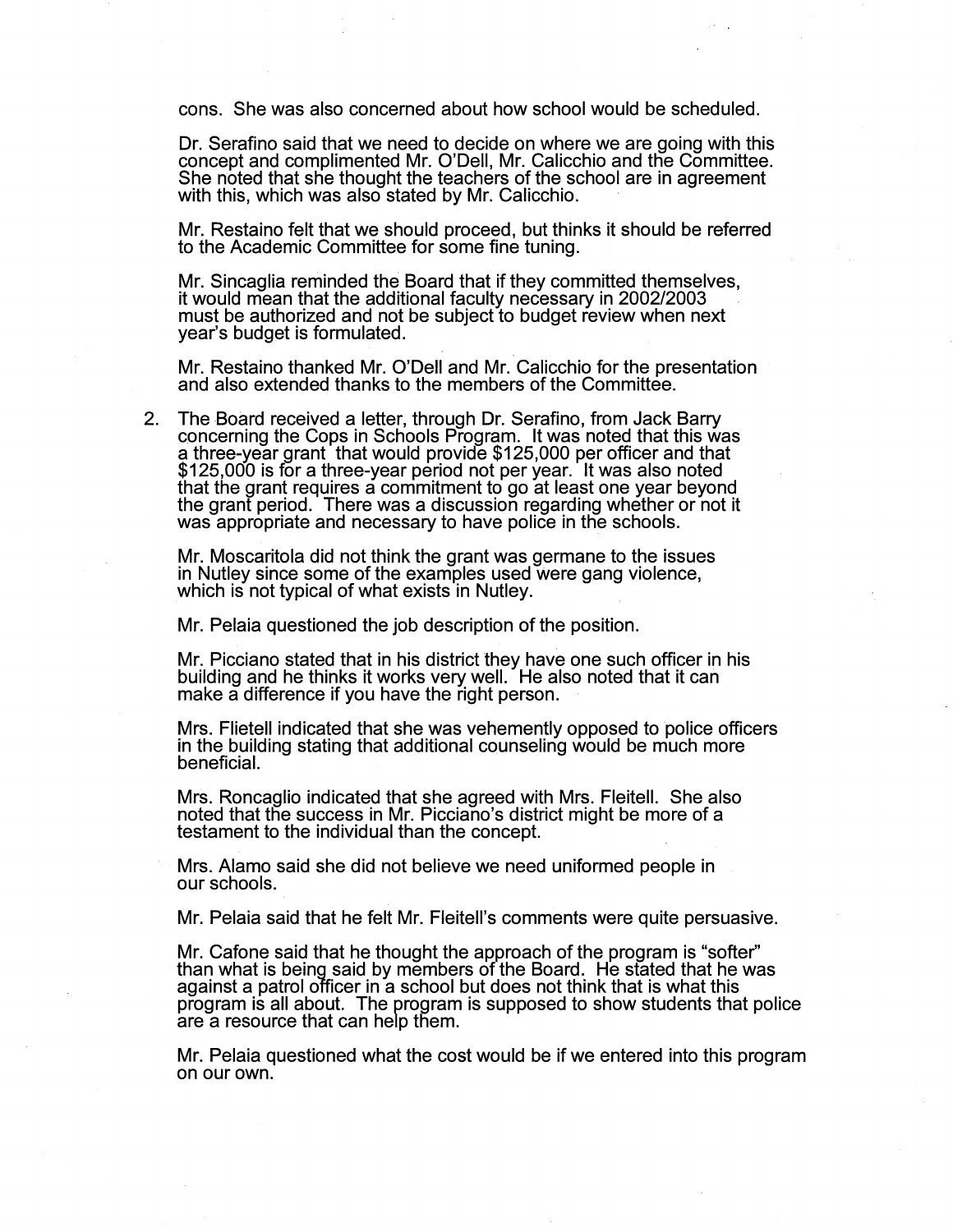cons. She was also concerned about how school would be scheduled.

Dr. Serafino said that we need to decide on where we are going with this concept and complimented Mr. O'Dell, Mr. Calicchio and the Committee. She noted that she thought the teachers of the school are in agreement with this, which was also stated by Mr. Calicchio.

Mr. Restaino felt that we should proceed, but thinks it should be referred to the Academic Committee for some fine tuning.

Mr. Sincaglia reminded the Board that if they committed themselves, it would mean that the additional faculty necessary in 2002/2003 must be authorized and not be subject to budget review when next year's budget is formulated.

Mr. Restaino thanked Mr. O'Dell and Mr. Calicchio for the presentation and also extended thanks to the members of the Committee.

2. The Board received a letter, through Dr. Serafino, from Jack Barry concerning the Cops in Schools Program. It was noted that this was a three-year grant that would provide \$125,000 per officer and that \$125,000 is for a three-year period not per year. It was also noted that the grant requires a commitment to go at least one year beyond the grant period. There was a discussion regarding whether or not it was appropriate and necessary to have police in the schools.

Mr. Moscaritola did not think the grant was germane to the issues in Nutley since some of the examples used were gang violence, which is not typical of what exists in Nutley.

Mr. Pelaia questioned the job description of the position.

Mr. Picciano stated that in his district they have one such officer in his building and he thinks it works very well. He also noted that it can make a difference if you have the right person.

Mrs. Flietell indicated that she was vehemently opposed to police officers in the building stating that additional counseling would be much more beneficial.

Mrs. Roncaglio indicated that she agreed with Mrs. Fleitell. She also noted that the success in Mr. Picciano's district might be more of a testament to the individual than the concept.

Mrs. Alamo said she did not believe we need uniformed people in our schools.

Mr. Pelaia said that he felt Mr. Fleitell's comments were quite persuasive.

Mr. Cafone said that he thought the approach of the program is "softer'' than what is being said by members of the Board. He stated that he was against a patrol officer in a school but does not think that is what this program is all about. The program is supposed to show students that police are a resource that can help them.

Mr. Pelaia questioned what the cost would be if we entered into this program on our own.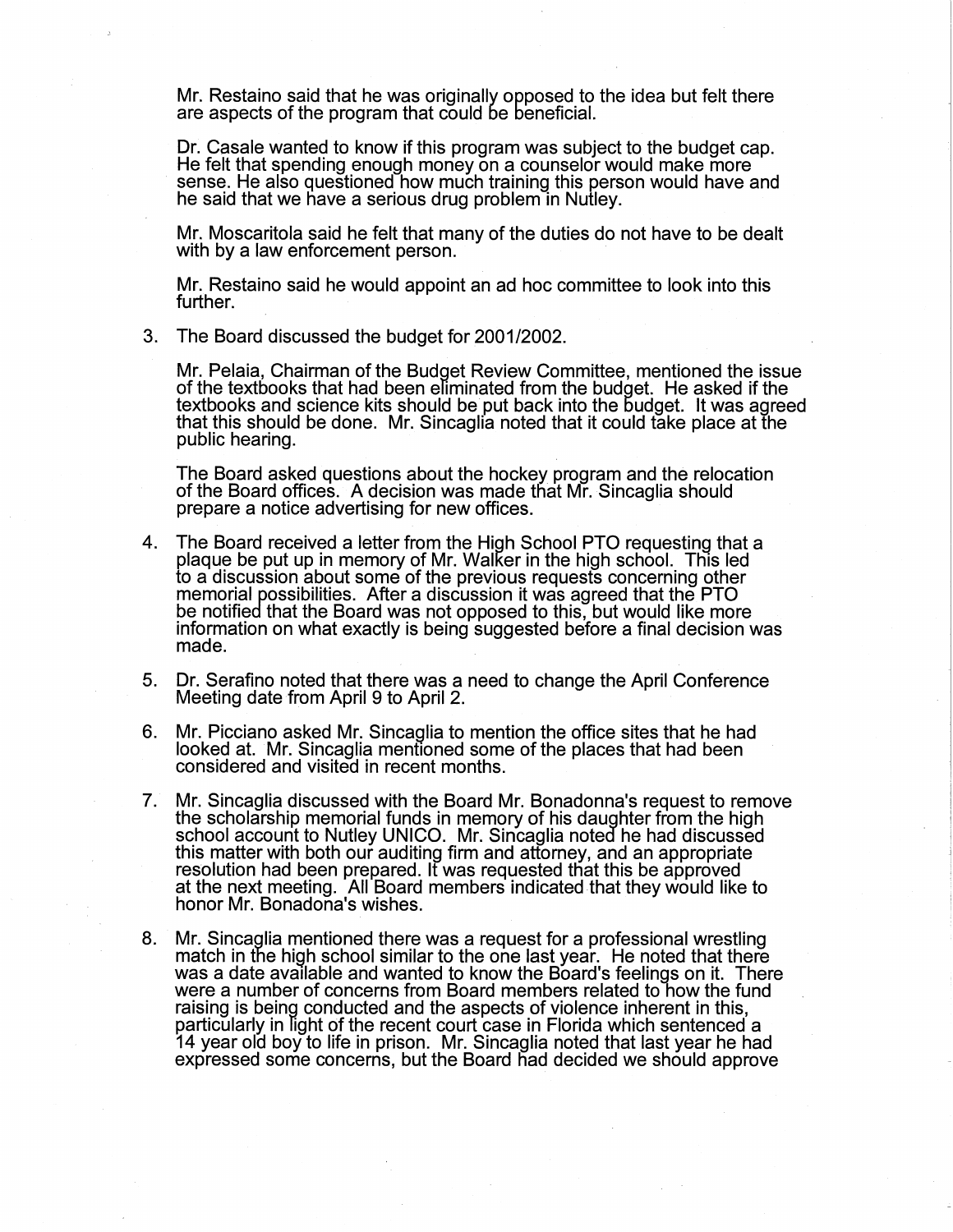Mr. Restaino said that he was originally opposed to the idea but felt there are aspects of the program that could be beneficial.

Dr. Casale wanted to know if this program was subject to the budget cap. He felt that spending enough money on a counselor would make more sense. He also questioned how much training this person would have and he said that we have a serious drug problem in Nutley.

Mr. Moscaritola said he felt that many of the duties do not have to be dealt with by a law enforcement person.

Mr. Restaino said he would appoint an ad hoc committee to look into this further.

3. The Board discussed the budget for 2001/2002.

Mr. Pelaia, Chairman of the Budget Review Committee, mentioned the issue of the textbooks that had been eliminated from the budget. He asked if the textbooks and science kits should be put back into the budget. It was agreed that this should be done. Mr. Sincagha noted that it could take place at the public hearing.

The Board asked questions about the hockey program and the relocation of the Board offices. A decision was made that Mr. Sincaglia should prepare a notice advertising for new offices.

- 4. The Board received a letter from the High School PTO requesting that a plaque be put up in memory of Mr. Walker in the high school. This led to a discussion about some of the previous requests concerning other memorial possibilities. After a discussion it was agreed that the PTO be notified that the Board was not opposed to this, but would like more information on what exactly is being suggested before a final decision was made.
- 5. Dr. Serafino noted that there was a need to change the April Conference Meeting date from April 9 to April 2.
- 6. Mr. Picciano asked Mr. Sinca9lia to mention the office sites that he had looked at. Mr. Sincaglia mentioned some of the places that had been considered and visited in recent months.
- 7. Mr. Sincaglia discussed with the Board Mr. Bonadonna's request to remove the scholarship memorial funds in memory of his daughter from the high school account to Nutley UNICO. Mr. Sincaglia noted he had discussed this matter with both our auditing firm and attorney, and an appropriate resolution had been prepared. It was requested that this be approved at the next meeting. All Board members indicated that they would like to honor Mr. Bonadona's wishes.
- 8. Mr. Sincaglia mentioned there was a request for a professional wrestling match in the high school similar to the one last year. He noted that there was a date available and wanted to know the Board's feelings on it. There were a number of concerns from Board members related to how the fund raising is being conducted and the aspects of violence inherent in this, particularly in light of the recent court case in Florida which sentenced a 14 year old boy to life in prison. Mr. Sincaglia noted that last year he had expressed some concerns, but the Board nad decided we should approve